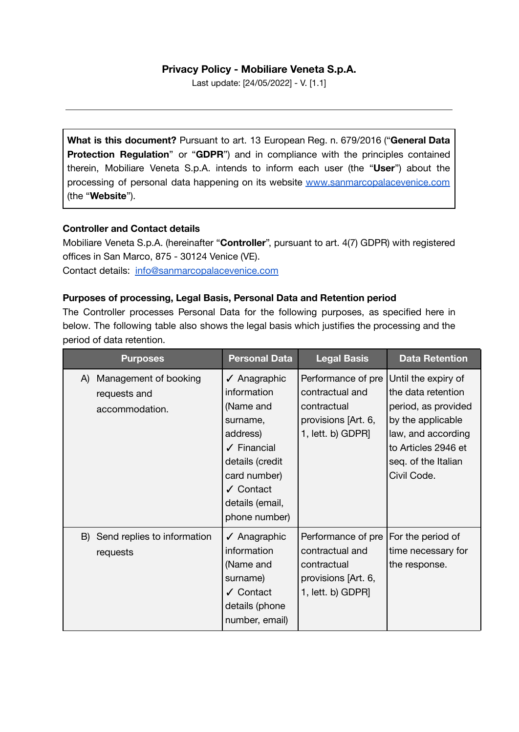# **Privacy Policy - Mobiliare Veneta S.p.A.**

Last update: [24/05/2022] - V. [1.1]

**What is this document?** Pursuant to art. 13 European Reg. n. 679/2016 ("**General Data Protection Regulation**" or "**GDPR**") and in compliance with the principles contained therein, Mobiliare Veneta S.p.A. intends to inform each user (the "**User**") about the processing of personal data happening on its website [www.sanmarcopalacevenice.com](http://www.sanmarcopalacevenice.com) (the "**Website**").

### **Controller and Contact details**

Mobiliare Veneta S.p.A. (hereinafter "**Controller**", pursuant to art. 4(7) GDPR) with registered offices in San Marco, 875 - 30124 Venice (VE). Contact details: [info@sanmarcopalacevenice.com](mailto:info@sanmarcopalacevenice.com)

### **Purposes of processing, Legal Basis, Personal Data and Retention period**

The Controller processes Personal Data for the following purposes, as specified here in below. The following table also shows the legal basis which justifies the processing and the period of data retention.

| <b>Purposes</b>                                               | <b>Personal Data</b>                                                                                                                                                                                      | <b>Legal Basis</b>                                                                               | <b>Data Retention</b>                                                                                                                                                    |
|---------------------------------------------------------------|-----------------------------------------------------------------------------------------------------------------------------------------------------------------------------------------------------------|--------------------------------------------------------------------------------------------------|--------------------------------------------------------------------------------------------------------------------------------------------------------------------------|
| Management of booking<br>A)<br>requests and<br>accommodation. | $\sqrt{\phantom{a}}$ Anagraphic<br>information<br>(Name and<br>surname,<br>address)<br>$\sqrt{\phantom{a}}$ Financial<br>details (credit<br>card number)<br>✓ Contact<br>details (email,<br>phone number) | Performance of pre<br>contractual and<br>contractual<br>provisions [Art. 6,<br>1, lett. b) GDPR] | Until the expiry of<br>the data retention<br>period, as provided<br>by the applicable<br>law, and according<br>to Articles 2946 et<br>seq. of the Italian<br>Civil Code. |
| B) Send replies to information<br>requests                    | √ Anagraphic<br>information<br>(Name and<br>surname)<br>✓ Contact<br>details (phone<br>number, email)                                                                                                     | Performance of pre<br>contractual and<br>contractual<br>provisions [Art. 6,<br>1, lett. b) GDPR] | For the period of<br>time necessary for<br>the response.                                                                                                                 |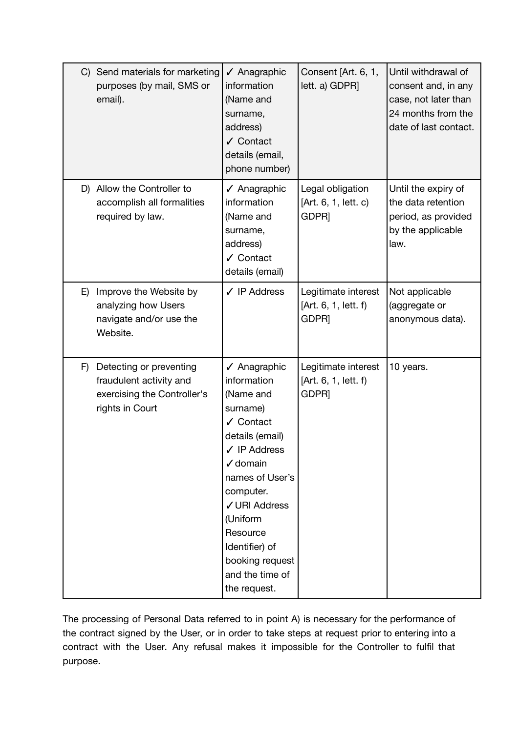|    | C) Send materials for marketing<br>purposes (by mail, SMS or<br>email).                              | √ Anagraphic<br>information<br>(Name and<br>surname,<br>address)<br>✔ Contact<br>details (email,<br>phone number)                                                                                                                                                                       | Consent [Art. 6, 1,<br>lett. a) GDPR]                            | Until withdrawal of<br>consent and, in any<br>case, not later than<br>24 months from the<br>date of last contact. |
|----|------------------------------------------------------------------------------------------------------|-----------------------------------------------------------------------------------------------------------------------------------------------------------------------------------------------------------------------------------------------------------------------------------------|------------------------------------------------------------------|-------------------------------------------------------------------------------------------------------------------|
|    | D) Allow the Controller to<br>accomplish all formalities<br>required by law.                         | √ Anagraphic<br>information<br>(Name and<br>surname,<br>address)<br>✔ Contact<br>details (email)                                                                                                                                                                                        | Legal obligation<br>[Art. 6, 1, lett. c)<br>GDPR <sub>]</sub>    | Until the expiry of<br>the data retention<br>period, as provided<br>by the applicable<br>law.                     |
| E) | Improve the Website by<br>analyzing how Users<br>navigate and/or use the<br>Website.                 | $\checkmark$ IP Address                                                                                                                                                                                                                                                                 | Legitimate interest<br>[Art. 6, 1, lett. f)<br>GDPR <sub>]</sub> | Not applicable<br>(aggregate or<br>anonymous data).                                                               |
| F) | Detecting or preventing<br>fraudulent activity and<br>exercising the Controller's<br>rights in Court | √ Anagraphic<br>information<br>(Name and<br>surname)<br>✔ Contact<br>details (email)<br>$\checkmark$ IP Address<br>$\checkmark$ domain<br>names of User's<br>computer.<br>√ URI Address<br>(Uniform<br>Resource<br>Identifier) of<br>booking request<br>and the time of<br>the request. | Legitimate interest<br>[Art. 6, 1, lett. f)<br>GDPR <sub>]</sub> | 10 years.                                                                                                         |

The processing of Personal Data referred to in point A) is necessary for the performance of the contract signed by the User, or in order to take steps at request prior to entering into a contract with the User. Any refusal makes it impossible for the Controller to fulfil that purpose.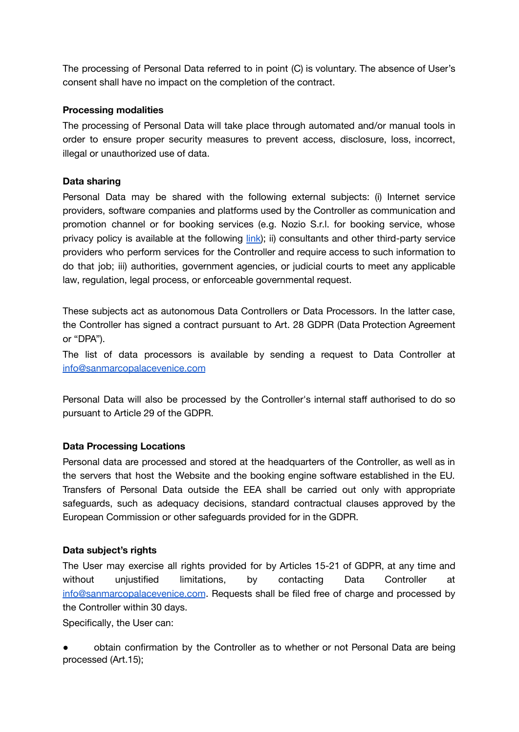The processing of Personal Data referred to in point (C) is voluntary. The absence of User's consent shall have no impact on the completion of the contract.

### **Processing modalities**

The processing of Personal Data will take place through automated and/or manual tools in order to ensure proper security measures to prevent access, disclosure, loss, incorrect, illegal or unauthorized use of data.

### **Data sharing**

Personal Data may be shared with the following external subjects: (i) Internet service providers, software companies and platforms used by the Controller as communication and promotion channel or for booking services (e.g. Nozio S.r.l. for booking service, whose privacy policy is available at the following [link\)](https://www.nozio.biz/copyright-ip-policy-privacy-cookies/); ii) consultants and other third-party service providers who perform services for the Controller and require access to such information to do that job; iii) authorities, government agencies, or judicial courts to meet any applicable law, regulation, legal process, or enforceable governmental request.

These subjects act as autonomous Data Controllers or Data Processors. In the latter case, the Controller has signed a contract pursuant to Art. 28 GDPR (Data Protection Agreement or "DPA").

The list of data processors is available by sending a request to Data Controller at [info@sanmarcopalacevenice.com](mailto:info@sanmarcopalacevenice.com)

Personal Data will also be processed by the Controller's internal staff authorised to do so pursuant to Article 29 of the GDPR.

## **Data Processing Locations**

Personal data are processed and stored at the headquarters of the Controller, as well as in the servers that host the Website and the booking engine software established in the EU. Transfers of Personal Data outside the EEA shall be carried out only with appropriate safeguards, such as adequacy decisions, standard contractual clauses approved by the European Commission or other safeguards provided for in the GDPR.

### **Data subject's rights**

The User may exercise all rights provided for by Articles 15-21 of GDPR, at any time and without unjustified limitations, by contacting Data Controller at [info@sanmarcopalacevenice.com](mailto:info@sanmarcopalacevenice.com). Requests shall be filed free of charge and processed by the Controller within 30 days.

Specifically, the User can:

obtain confirmation by the Controller as to whether or not Personal Data are being processed (Art.15);